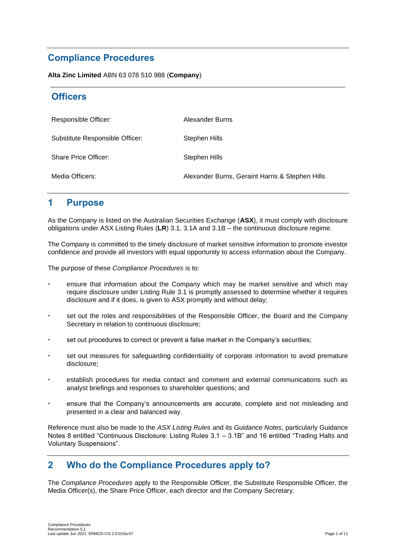# **Compliance Procedures**

**Alta Zinc Limited** ABN 63 078 510 988 (**Company**)

# **Officers**

| Responsible Officer:            | Alexander Burns                                 |
|---------------------------------|-------------------------------------------------|
| Substitute Responsible Officer: | Stephen Hills                                   |
| <b>Share Price Officer:</b>     | Stephen Hills                                   |
| Media Officers:                 | Alexander Burns, Geraint Harris & Stephen Hills |

## **1 Purpose**

As the Company is listed on the Australian Securities Exchange (**ASX**), it must comply with disclosure obligations under ASX Listing Rules (**LR**) 3.1, 3.1A and 3.1B – the continuous disclosure regime.

The Company is committed to the timely disclosure of market sensitive information to promote investor confidence and provide all investors with equal opportunity to access information about the Company.

The purpose of these *Compliance Procedures* is to:

- ensure that information about the Company which may be market sensitive and which may require disclosure under Listing Rule 3.1 is promptly assessed to determine whether it requires disclosure and if it does, is given to ASX promptly and without delay;
- set out the roles and responsibilities of the Responsible Officer, the Board and the Company Secretary in relation to continuous disclosure;
- set out procedures to correct or prevent a false market in the Company's securities;
- set out measures for safeguarding confidentiality of corporate information to avoid premature disclosure;
- establish procedures for media contact and comment and external communications such as analyst briefings and responses to shareholder questions; and
- ensure that the Company's announcements are accurate, complete and not misleading and presented in a clear and balanced way.

Reference must also be made to the *ASX Listing Rules* and its *Guidance Notes*, particularly Guidance Notes 8 entitled "Continuous Disclosure: Listing Rules 3.1 – 3.1B" and 16 entitled "Trading Halts and Voluntary Suspensions".

## **2 Who do the Compliance Procedures apply to?**

The *Compliance Procedures* apply to the Responsible Officer, the Substitute Responsible Officer, the Media Officer(s), the Share Price Officer, each director and the Company Secretary.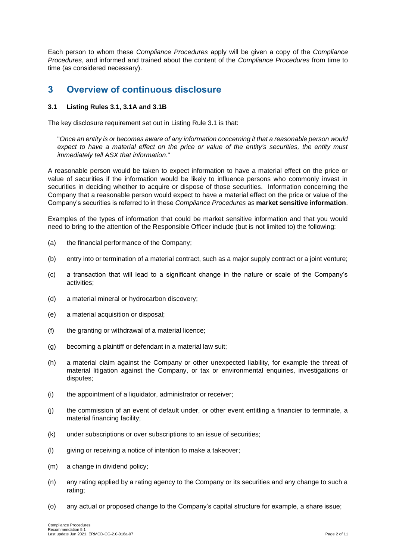Each person to whom these *Compliance Procedures* apply will be given a copy of the *Compliance Procedures*, and informed and trained about the content of the *Compliance Procedures* from time to time (as considered necessary).

# **3 Overview of continuous disclosure**

## **3.1 Listing Rules 3.1, 3.1A and 3.1B**

The key disclosure requirement set out in Listing Rule 3.1 is that:

"*Once an entity is or becomes aware of any information concerning it that a reasonable person would expect to have a material effect on the price or value of the entity's securities, the entity must immediately tell ASX that information*."

A reasonable person would be taken to expect information to have a material effect on the price or value of securities if the information would be likely to influence persons who commonly invest in securities in deciding whether to acquire or dispose of those securities. Information concerning the Company that a reasonable person would expect to have a material effect on the price or value of the Company's securities is referred to in these *Compliance Procedures* as **market sensitive information**.

Examples of the types of information that could be market sensitive information and that you would need to bring to the attention of the Responsible Officer include (but is not limited to) the following:

- (a) the financial performance of the Company;
- (b) entry into or termination of a material contract, such as a major supply contract or a joint venture;
- (c) a transaction that will lead to a significant change in the nature or scale of the Company's activities;
- (d) a material mineral or hydrocarbon discovery;
- (e) a material acquisition or disposal;
- (f) the granting or withdrawal of a material licence;
- (g) becoming a plaintiff or defendant in a material law suit;
- (h) a material claim against the Company or other unexpected liability, for example the threat of material litigation against the Company, or tax or environmental enquiries, investigations or disputes;
- (i) the appointment of a liquidator, administrator or receiver;
- (j) the commission of an event of default under, or other event entitling a financier to terminate, a material financing facility;
- (k) under subscriptions or over subscriptions to an issue of securities;
- (l) giving or receiving a notice of intention to make a takeover;
- (m) a change in dividend policy;
- (n) any rating applied by a rating agency to the Company or its securities and any change to such a rating;
- (o) any actual or proposed change to the Company's capital structure for example, a share issue;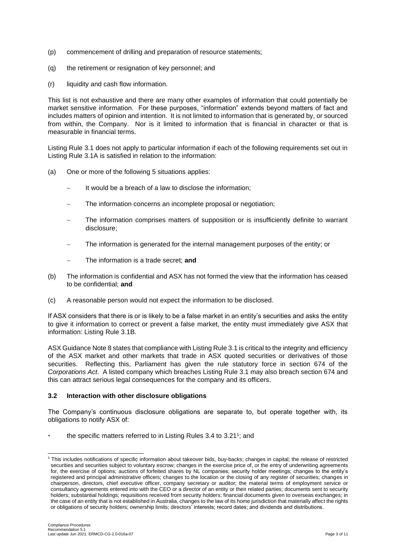- (p) commencement of drilling and preparation of resource statements;
- (q) the retirement or resignation of key personnel; and
- (r) liquidity and cash flow information.

This list is not exhaustive and there are many other examples of information that could potentially be market sensitive information. For these purposes, "information" extends beyond matters of fact and includes matters of opinion and intention. It is not limited to information that is generated by, or sourced from within, the Company. Nor is it limited to information that is financial in character or that is measurable in financial terms.

Listing Rule 3.1 does not apply to particular information if each of the following requirements set out in Listing Rule 3.1A is satisfied in relation to the information:

- (a) One or more of the following 5 situations applies:
	- It would be a breach of a law to disclose the information;
	- The information concerns an incomplete proposal or negotiation;
	- The information comprises matters of supposition or is insufficiently definite to warrant disclosure;
	- The information is generated for the internal management purposes of the entity; or
	- − The information is a trade secret; **and**
- (b) The information is confidential and ASX has not formed the view that the information has ceased to be confidential; **and**
- (c) A reasonable person would not expect the information to be disclosed.

If ASX considers that there is or is likely to be a false market in an entity's securities and asks the entity to give it information to correct or prevent a false market, the entity must immediately give ASX that information: Listing Rule 3.1B.

ASX Guidance Note 8 states that compliance with Listing Rule 3.1 is critical to the integrity and efficiency of the ASX market and other markets that trade in ASX quoted securities or derivatives of those securities. Reflecting this, Parliament has given the rule statutory force in section 674 of the *Corporations Act*. A listed company which breaches Listing Rule 3.1 may also breach section 674 and this can attract serious legal consequences for the company and its officers.

### **3.2 Interaction with other disclosure obligations**

The Company's continuous disclosure obligations are separate to, but operate together with, its obligations to notify ASX of:

 $\cdot$  the specific matters referred to in Listing Rules 3.4 to 3.21<sup>1</sup>; and

<sup>1</sup> This includes notifications of specific information about takeover bids, buy-backs; changes in capital; the release of restricted securities and securities subject to voluntary escrow; changes in the exercise price of, or the entry of underwriting agreements for, the exercise of options; auctions of forfeited shares by NL companies; security holder meetings; changes to the entity's registered and principal administrative officers; changes to the location or the closing of any register of securities; changes in chairperson, directors, chief executive officer, company secretary or auditor; the material terms of employment service or consultancy agreements entered into with the CEO or a director of an entity or their related parties; documents sent to security holders; substantial holdings; requisitions received from security holders; financial documents given to overseas exchanges; in the case of an entity that is not established in Australia, changes to the law of its home jurisdiction that materially affect the rights or obligations of security holders; ownership limits; directors' interests; record dates; and dividends and distributions.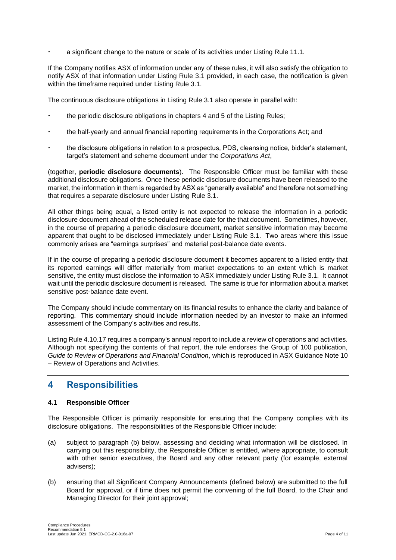a significant change to the nature or scale of its activities under Listing Rule 11.1.

If the Company notifies ASX of information under any of these rules, it will also satisfy the obligation to notify ASX of that information under Listing Rule 3.1 provided, in each case, the notification is given within the timeframe required under Listing Rule 3.1.

The continuous disclosure obligations in Listing Rule 3.1 also operate in parallel with:

- the periodic disclosure obligations in chapters 4 and 5 of the Listing Rules;
- the half-yearly and annual financial reporting requirements in the Corporations Act; and
- the disclosure obligations in relation to a prospectus, PDS, cleansing notice, bidder's statement, target's statement and scheme document under the *Corporations Act*,

(together, **periodic disclosure documents**). The Responsible Officer must be familiar with these additional disclosure obligations. Once these periodic disclosure documents have been released to the market, the information in them is regarded by ASX as "generally available" and therefore not something that requires a separate disclosure under Listing Rule 3.1.

All other things being equal, a listed entity is not expected to release the information in a periodic disclosure document ahead of the scheduled release date for the that document. Sometimes, however, in the course of preparing a periodic disclosure document, market sensitive information may become apparent that ought to be disclosed immediately under Listing Rule 3.1. Two areas where this issue commonly arises are "earnings surprises" and material post-balance date events.

If in the course of preparing a periodic disclosure document it becomes apparent to a listed entity that its reported earnings will differ materially from market expectations to an extent which is market sensitive, the entity must disclose the information to ASX immediately under Listing Rule 3.1. It cannot wait until the periodic disclosure document is released. The same is true for information about a market sensitive post-balance date event.

The Company should include commentary on its financial results to enhance the clarity and balance of reporting. This commentary should include information needed by an investor to make an informed assessment of the Company's activities and results.

Listing Rule 4.10.17 requires a company's annual report to include a review of operations and activities. Although not specifying the contents of that report, the rule endorses the Group of 100 publication, *Guide to Review of Operations and Financial Condition*, which is reproduced in ASX Guidance Note 10 – Review of Operations and Activities.

## **4 Responsibilities**

### **4.1 Responsible Officer**

The Responsible Officer is primarily responsible for ensuring that the Company complies with its disclosure obligations. The responsibilities of the Responsible Officer include:

- (a) subject to paragraph (b) below, assessing and deciding what information will be disclosed. In carrying out this responsibility, the Responsible Officer is entitled, where appropriate, to consult with other senior executives, the Board and any other relevant party (for example, external advisers);
- (b) ensuring that all Significant Company Announcements (defined below) are submitted to the full Board for approval, or if time does not permit the convening of the full Board, to the Chair and Managing Director for their joint approval;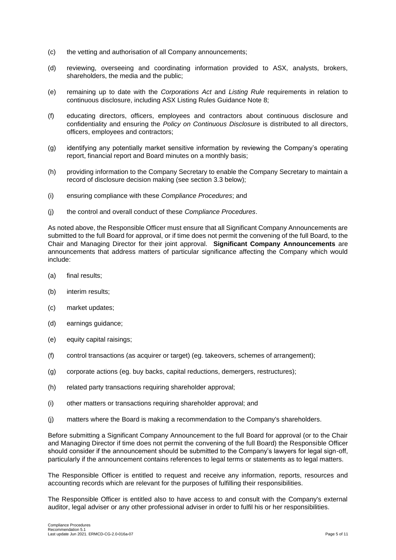- (c) the vetting and authorisation of all Company announcements;
- (d) reviewing, overseeing and coordinating information provided to ASX, analysts, brokers, shareholders, the media and the public;
- (e) remaining up to date with the *Corporations Act* and *Listing Rule* requirements in relation to continuous disclosure, including ASX Listing Rules Guidance Note 8;
- (f) educating directors, officers, employees and contractors about continuous disclosure and confidentiality and ensuring the *Policy on Continuous Disclosure* is distributed to all directors, officers, employees and contractors;
- (g) identifying any potentially market sensitive information by reviewing the Company's operating report, financial report and Board minutes on a monthly basis;
- (h) providing information to the Company Secretary to enable the Company Secretary to maintain a record of disclosure decision making (see section 3.3 below);
- (i) ensuring compliance with these *Compliance Procedures*; and
- (j) the control and overall conduct of these *Compliance Procedures*.

As noted above, the Responsible Officer must ensure that all Significant Company Announcements are submitted to the full Board for approval, or if time does not permit the convening of the full Board, to the Chair and Managing Director for their joint approval. **Significant Company Announcements** are announcements that address matters of particular significance affecting the Company which would include:

- (a) final results;
- (b) interim results;
- (c) market updates;
- (d) earnings guidance;
- (e) equity capital raisings;
- (f) control transactions (as acquirer or target) (eg. takeovers, schemes of arrangement);
- (g) corporate actions (eg. buy backs, capital reductions, demergers, restructures);
- (h) related party transactions requiring shareholder approval;
- (i) other matters or transactions requiring shareholder approval; and
- (j) matters where the Board is making a recommendation to the Company's shareholders.

Before submitting a Significant Company Announcement to the full Board for approval (or to the Chair and Managing Director if time does not permit the convening of the full Board) the Responsible Officer should consider if the announcement should be submitted to the Company's lawyers for legal sign-off, particularly if the announcement contains references to legal terms or statements as to legal matters.

The Responsible Officer is entitled to request and receive any information, reports, resources and accounting records which are relevant for the purposes of fulfilling their responsibilities.

The Responsible Officer is entitled also to have access to and consult with the Company's external auditor, legal adviser or any other professional adviser in order to fulfil his or her responsibilities.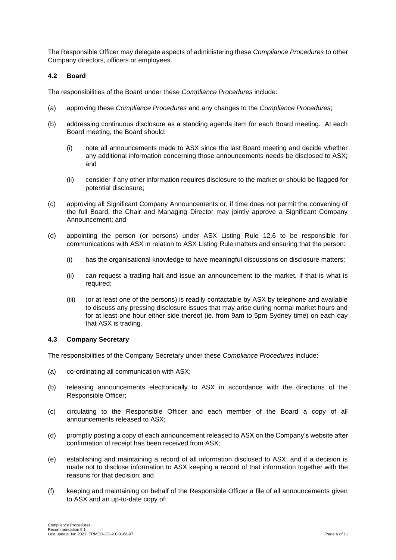The Responsible Officer may delegate aspects of administering these *Compliance Procedures* to other Company directors, officers or employees.

#### **4.2 Board**

The responsibilities of the Board under these *Compliance Procedures* include:

- (a) approving these *Compliance Procedures* and any changes to the *Compliance Procedures*;
- (b) addressing continuous disclosure as a standing agenda item for each Board meeting. At each Board meeting, the Board should:
	- (i) note all announcements made to ASX since the last Board meeting and decide whether any additional information concerning those announcements needs be disclosed to ASX; and
	- (ii) consider if any other information requires disclosure to the market or should be flagged for potential disclosure;
- (c) approving all Significant Company Announcements or, if time does not permit the convening of the full Board, the Chair and Managing Director may jointly approve a Significant Company Announcement; and
- (d) appointing the person (or persons) under ASX Listing Rule 12.6 to be responsible for communications with ASX in relation to ASX Listing Rule matters and ensuring that the person:
	- (i) has the organisational knowledge to have meaningful discussions on disclosure matters;
	- (ii) can request a trading halt and issue an announcement to the market, if that is what is required;
	- (iii) (or at least one of the persons) is readily contactable by ASX by telephone and available to discuss any pressing disclosure issues that may arise during normal market hours and for at least one hour either side thereof (ie. from 9am to 5pm Sydney time) on each day that ASX is trading.

### **4.3 Company Secretary**

The responsibilities of the Company Secretary under these *Compliance Procedures* include:

- (a) co-ordinating all communication with ASX;
- (b) releasing announcements electronically to ASX in accordance with the directions of the Responsible Officer;
- (c) circulating to the Responsible Officer and each member of the Board a copy of all announcements released to ASX;
- (d) promptly posting a copy of each announcement released to ASX on the Company's website after confirmation of receipt has been received from ASX;
- (e) establishing and maintaining a record of all information disclosed to ASX, and if a decision is made not to disclose information to ASX keeping a record of that information together with the reasons for that decision; and
- (f) keeping and maintaining on behalf of the Responsible Officer a file of all announcements given to ASX and an up-to-date copy of: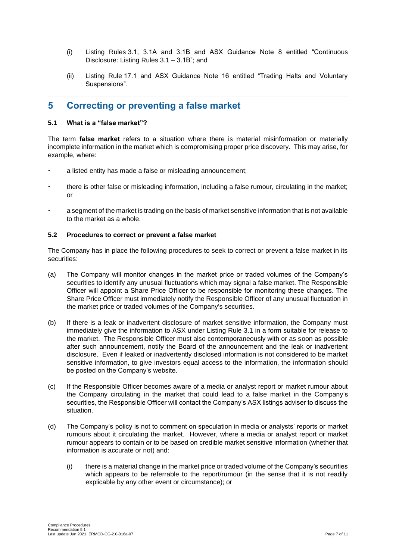- (i) Listing Rules 3.1, 3.1A and 3.1B and ASX Guidance Note 8 entitled "Continuous Disclosure: Listing Rules 3.1 – 3.1B"; and
- (ii) Listing Rule 17.1 and ASX Guidance Note 16 entitled "Trading Halts and Voluntary Suspensions".

## **5 Correcting or preventing a false market**

#### **5.1 What is a "false market"?**

The term **false market** refers to a situation where there is material misinformation or materially incomplete information in the market which is compromising proper price discovery. This may arise, for example, where:

- a listed entity has made a false or misleading announcement;
- there is other false or misleading information, including a false rumour, circulating in the market;  $\alpha$ r
- a segment of the market is trading on the basis of market sensitive information that is not available to the market as a whole.

#### **5.2 Procedures to correct or prevent a false market**

The Company has in place the following procedures to seek to correct or prevent a false market in its securities:

- (a) The Company will monitor changes in the market price or traded volumes of the Company's securities to identify any unusual fluctuations which may signal a false market. The Responsible Officer will appoint a Share Price Officer to be responsible for monitoring these changes. The Share Price Officer must immediately notify the Responsible Officer of any unusual fluctuation in the market price or traded volumes of the Company's securities.
- (b) If there is a leak or inadvertent disclosure of market sensitive information, the Company must immediately give the information to ASX under Listing Rule 3.1 in a form suitable for release to the market. The Responsible Officer must also contemporaneously with or as soon as possible after such announcement, notify the Board of the announcement and the leak or inadvertent disclosure. Even if leaked or inadvertently disclosed information is not considered to be market sensitive information, to give investors equal access to the information, the information should be posted on the Company's website.
- (c) If the Responsible Officer becomes aware of a media or analyst report or market rumour about the Company circulating in the market that could lead to a false market in the Company's securities, the Responsible Officer will contact the Company's ASX listings adviser to discuss the situation.
- (d) The Company's policy is not to comment on speculation in media or analysts' reports or market rumours about it circulating the market. However, where a media or analyst report or market rumour appears to contain or to be based on credible market sensitive information (whether that information is accurate or not) and:
	- (i) there is a material change in the market price or traded volume of the Company's securities which appears to be referrable to the report/rumour (in the sense that it is not readily explicable by any other event or circumstance); or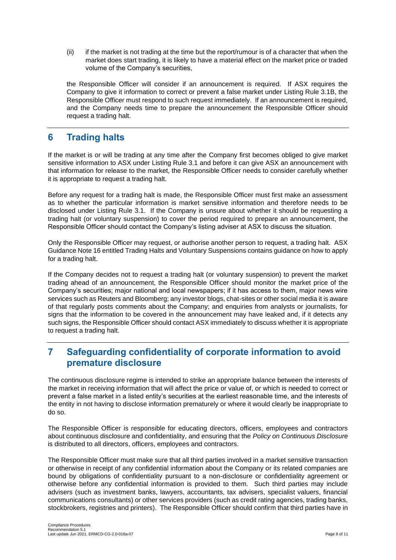(ii) if the market is not trading at the time but the report/rumour is of a character that when the market does start trading, it is likely to have a material effect on the market price or traded volume of the Company's securities,

the Responsible Officer will consider if an announcement is required. If ASX requires the Company to give it information to correct or prevent a false market under Listing Rule 3.1B, the Responsible Officer must respond to such request immediately. If an announcement is required, and the Company needs time to prepare the announcement the Responsible Officer should request a trading halt.

# **6 Trading halts**

If the market is or will be trading at any time after the Company first becomes obliged to give market sensitive information to ASX under Listing Rule 3.1 and before it can give ASX an announcement with that information for release to the market, the Responsible Officer needs to consider carefully whether it is appropriate to request a trading halt.

Before any request for a trading halt is made, the Responsible Officer must first make an assessment as to whether the particular information is market sensitive information and therefore needs to be disclosed under Listing Rule 3.1. If the Company is unsure about whether it should be requesting a trading halt (or voluntary suspension) to cover the period required to prepare an announcement, the Responsible Officer should contact the Company's listing adviser at ASX to discuss the situation.

Only the Responsible Officer may request, or authorise another person to request, a trading halt. ASX Guidance Note 16 entitled Trading Halts and Voluntary Suspensions contains guidance on how to apply for a trading halt.

If the Company decides not to request a trading halt (or voluntary suspension) to prevent the market trading ahead of an announcement, the Responsible Officer should monitor the market price of the Company's securities; major national and local newspapers; if it has access to them, major news wire services such as Reuters and Bloomberg; any investor blogs, chat-sites or other social media it is aware of that regularly posts comments about the Company; and enquiries from analysts or journalists, for signs that the information to be covered in the announcement may have leaked and, if it detects any such signs, the Responsible Officer should contact ASX immediately to discuss whether it is appropriate to request a trading halt.

# **7 Safeguarding confidentiality of corporate information to avoid premature disclosure**

The continuous disclosure regime is intended to strike an appropriate balance between the interests of the market in receiving information that will affect the price or value of, or which is needed to correct or prevent a false market in a listed entity's securities at the earliest reasonable time, and the interests of the entity in not having to disclose information prematurely or where it would clearly be inappropriate to do so.

The Responsible Officer is responsible for educating directors, officers, employees and contractors about continuous disclosure and confidentiality, and ensuring that the *Policy on Continuous Disclosure* is distributed to all directors, officers, employees and contractors.

The Responsible Officer must make sure that all third parties involved in a market sensitive transaction or otherwise in receipt of any confidential information about the Company or its related companies are bound by obligations of confidentiality pursuant to a non-disclosure or confidentiality agreement or otherwise before any confidential information is provided to them. Such third parties may include advisers (such as investment banks, lawyers, accountants, tax advisers, specialist valuers, financial communications consultants) or other services providers (such as credit rating agencies, trading banks, stockbrokers, registries and printers). The Responsible Officer should confirm that third parties have in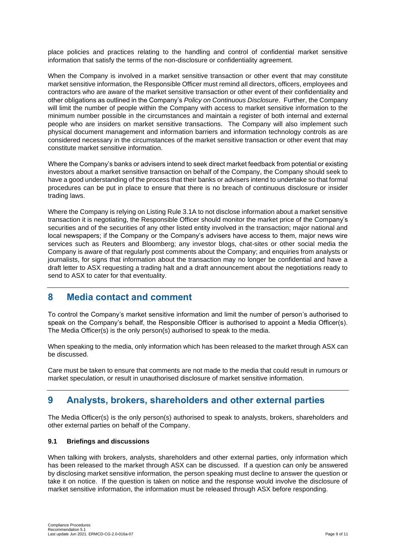place policies and practices relating to the handling and control of confidential market sensitive information that satisfy the terms of the non-disclosure or confidentiality agreement.

When the Company is involved in a market sensitive transaction or other event that may constitute market sensitive information, the Responsible Officer must remind all directors, officers, employees and contractors who are aware of the market sensitive transaction or other event of their confidentiality and other obligations as outlined in the Company's *Policy on Continuous Disclosure*. Further, the Company will limit the number of people within the Company with access to market sensitive information to the minimum number possible in the circumstances and maintain a register of both internal and external people who are insiders on market sensitive transactions. The Company will also implement such physical document management and information barriers and information technology controls as are considered necessary in the circumstances of the market sensitive transaction or other event that may constitute market sensitive information.

Where the Company's banks or advisers intend to seek direct market feedback from potential or existing investors about a market sensitive transaction on behalf of the Company, the Company should seek to have a good understanding of the process that their banks or advisers intend to undertake so that formal procedures can be put in place to ensure that there is no breach of continuous disclosure or insider trading laws.

Where the Company is relying on Listing Rule 3.1A to not disclose information about a market sensitive transaction it is negotiating, the Responsible Officer should monitor the market price of the Company's securities and of the securities of any other listed entity involved in the transaction; major national and local newspapers; if the Company or the Company's advisers have access to them, major news wire services such as Reuters and Bloomberg; any investor blogs, chat-sites or other social media the Company is aware of that regularly post comments about the Company; and enquiries from analysts or journalists, for signs that information about the transaction may no longer be confidential and have a draft letter to ASX requesting a trading halt and a draft announcement about the negotiations ready to send to ASX to cater for that eventuality.

# **8 Media contact and comment**

To control the Company's market sensitive information and limit the number of person's authorised to speak on the Company's behalf, the Responsible Officer is authorised to appoint a Media Officer(s). The Media Officer(s) is the only person(s) authorised to speak to the media.

When speaking to the media, only information which has been released to the market through ASX can be discussed.

Care must be taken to ensure that comments are not made to the media that could result in rumours or market speculation, or result in unauthorised disclosure of market sensitive information.

# **9 Analysts, brokers, shareholders and other external parties**

The Media Officer(s) is the only person(s) authorised to speak to analysts, brokers, shareholders and other external parties on behalf of the Company.

### **9.1 Briefings and discussions**

When talking with brokers, analysts, shareholders and other external parties, only information which has been released to the market through ASX can be discussed. If a question can only be answered by disclosing market sensitive information, the person speaking must decline to answer the question or take it on notice. If the question is taken on notice and the response would involve the disclosure of market sensitive information, the information must be released through ASX before responding.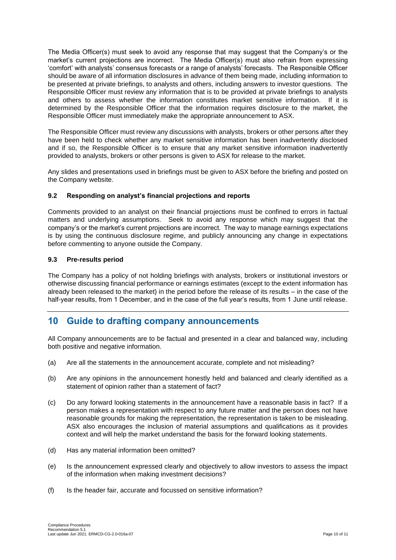The Media Officer(s) must seek to avoid any response that may suggest that the Company's or the market's current projections are incorrect. The Media Officer(s) must also refrain from expressing 'comfort' with analysts' consensus forecasts or a range of analysts' forecasts. The Responsible Officer should be aware of all information disclosures in advance of them being made, including information to be presented at private briefings, to analysts and others, including answers to investor questions. The Responsible Officer must review any information that is to be provided at private briefings to analysts and others to assess whether the information constitutes market sensitive information. If it is determined by the Responsible Officer that the information requires disclosure to the market, the Responsible Officer must immediately make the appropriate announcement to ASX.

The Responsible Officer must review any discussions with analysts, brokers or other persons after they have been held to check whether any market sensitive information has been inadvertently disclosed and if so, the Responsible Officer is to ensure that any market sensitive information inadvertently provided to analysts, brokers or other persons is given to ASX for release to the market.

Any slides and presentations used in briefings must be given to ASX before the briefing and posted on the Company website.

## **9.2 Responding on analyst's financial projections and reports**

Comments provided to an analyst on their financial projections must be confined to errors in factual matters and underlying assumptions. Seek to avoid any response which may suggest that the company's or the market's current projections are incorrect. The way to manage earnings expectations is by using the continuous disclosure regime, and publicly announcing any change in expectations before commenting to anyone outside the Company.

### **9.3 Pre-results period**

The Company has a policy of not holding briefings with analysts, brokers or institutional investors or otherwise discussing financial performance or earnings estimates (except to the extent information has already been released to the market) in the period before the release of its results – in the case of the half-year results, from 1 December, and in the case of the full year's results, from 1 June until release.

## **10 Guide to drafting company announcements**

All Company announcements are to be factual and presented in a clear and balanced way, including both positive and negative information.

- (a) Are all the statements in the announcement accurate, complete and not misleading?
- (b) Are any opinions in the announcement honestly held and balanced and clearly identified as a statement of opinion rather than a statement of fact?
- (c) Do any forward looking statements in the announcement have a reasonable basis in fact? If a person makes a representation with respect to any future matter and the person does not have reasonable grounds for making the representation, the representation is taken to be misleading. ASX also encourages the inclusion of material assumptions and qualifications as it provides context and will help the market understand the basis for the forward looking statements.
- (d) Has any material information been omitted?
- (e) Is the announcement expressed clearly and objectively to allow investors to assess the impact of the information when making investment decisions?
- (f) Is the header fair, accurate and focussed on sensitive information?